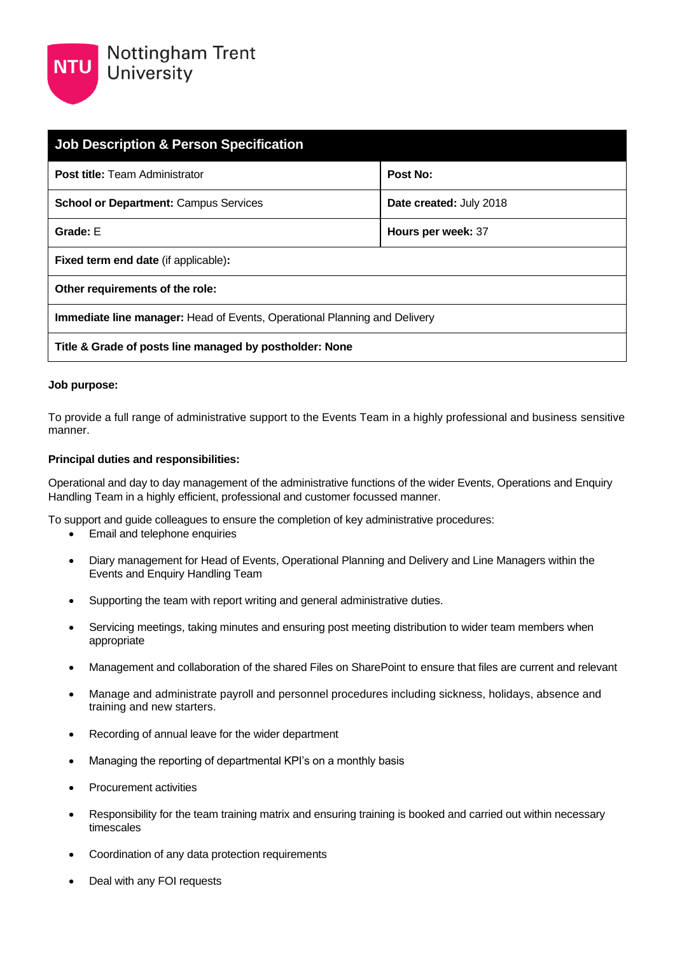| <b>Job Description &amp; Person Specification</b>                                |                                |  |
|----------------------------------------------------------------------------------|--------------------------------|--|
| <b>Post title:</b> Team Administrator                                            | Post No:                       |  |
| <b>School or Department: Campus Services</b>                                     | <b>Date created: July 2018</b> |  |
| Grade: E                                                                         | Hours per week: 37             |  |
| <b>Fixed term end date (if applicable):</b>                                      |                                |  |
| Other requirements of the role:                                                  |                                |  |
| <b>Immediate line manager:</b> Head of Events, Operational Planning and Delivery |                                |  |
| Title & Grade of posts line managed by postholder: None                          |                                |  |

## **Job purpose:**

To provide a full range of administrative support to the Events Team in a highly professional and business sensitive manner.

## **Principal duties and responsibilities:**

Operational and day to day management of the administrative functions of the wider Events, Operations and Enquiry Handling Team in a highly efficient, professional and customer focussed manner.

To support and guide colleagues to ensure the completion of key administrative procedures:

- Email and telephone enquiries
- Diary management for Head of Events, Operational Planning and Delivery and Line Managers within the Events and Enquiry Handling Team
- Supporting the team with report writing and general administrative duties.
- Servicing meetings, taking minutes and ensuring post meeting distribution to wider team members when appropriate
- Management and collaboration of the shared Files on SharePoint to ensure that files are current and relevant
- Manage and administrate payroll and personnel procedures including sickness, holidays, absence and training and new starters.
- Recording of annual leave for the wider department
- Managing the reporting of departmental KPI's on a monthly basis
- Procurement activities
- Responsibility for the team training matrix and ensuring training is booked and carried out within necessary timescales
- Coordination of any data protection requirements
- Deal with any FOI requests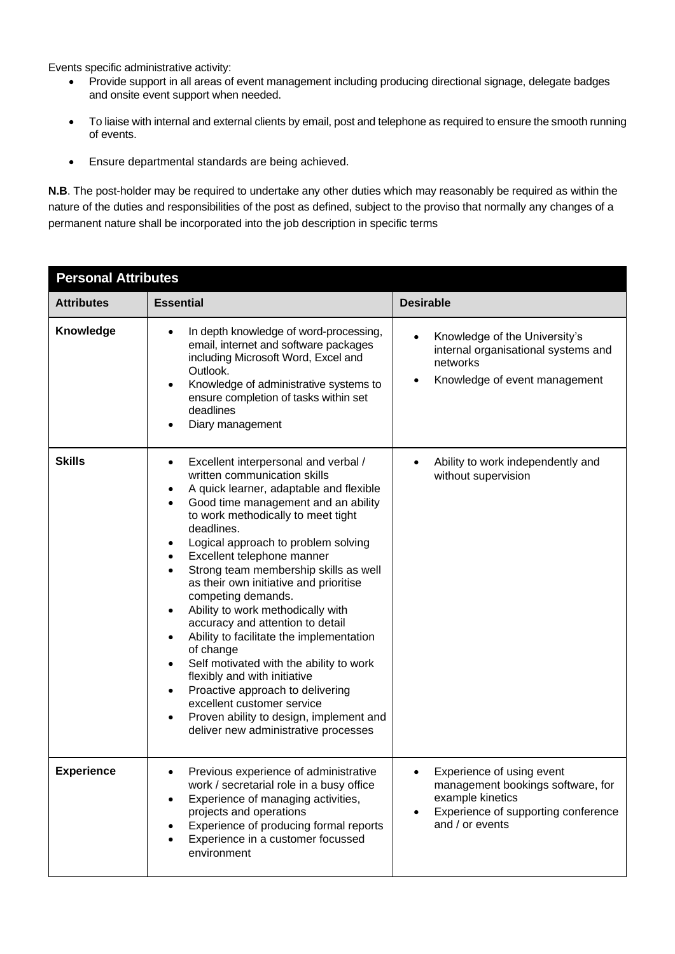Events specific administrative activity:

- Provide support in all areas of event management including producing directional signage, delegate badges and onsite event support when needed.
- To liaise with internal and external clients by email, post and telephone as required to ensure the smooth running of events.
- Ensure departmental standards are being achieved.

**N.B**. The post-holder may be required to undertake any other duties which may reasonably be required as within the nature of the duties and responsibilities of the post as defined, subject to the proviso that normally any changes of a permanent nature shall be incorporated into the job description in specific terms

| <b>Personal Attributes</b> |                                                                                                                                                                                                                                                                                                                                                                                                                                                                                                                                                                                                                                                                                                                                                                           |                                                                                                                                              |  |
|----------------------------|---------------------------------------------------------------------------------------------------------------------------------------------------------------------------------------------------------------------------------------------------------------------------------------------------------------------------------------------------------------------------------------------------------------------------------------------------------------------------------------------------------------------------------------------------------------------------------------------------------------------------------------------------------------------------------------------------------------------------------------------------------------------------|----------------------------------------------------------------------------------------------------------------------------------------------|--|
| <b>Attributes</b>          | <b>Essential</b>                                                                                                                                                                                                                                                                                                                                                                                                                                                                                                                                                                                                                                                                                                                                                          | <b>Desirable</b>                                                                                                                             |  |
| Knowledge                  | In depth knowledge of word-processing,<br>email, internet and software packages<br>including Microsoft Word, Excel and<br>Outlook.<br>Knowledge of administrative systems to<br>ensure completion of tasks within set<br>deadlines<br>Diary management                                                                                                                                                                                                                                                                                                                                                                                                                                                                                                                    | Knowledge of the University's<br>$\bullet$<br>internal organisational systems and<br>networks<br>Knowledge of event management               |  |
| <b>Skills</b>              | Excellent interpersonal and verbal /<br>٠<br>written communication skills<br>A quick learner, adaptable and flexible<br>٠<br>Good time management and an ability<br>to work methodically to meet tight<br>deadlines.<br>Logical approach to problem solving<br>Excellent telephone manner<br>Strong team membership skills as well<br>as their own initiative and prioritise<br>competing demands.<br>Ability to work methodically with<br>accuracy and attention to detail<br>Ability to facilitate the implementation<br>of change<br>Self motivated with the ability to work<br>flexibly and with initiative<br>Proactive approach to delivering<br>excellent customer service<br>Proven ability to design, implement and<br>٠<br>deliver new administrative processes | Ability to work independently and<br>$\bullet$<br>without supervision                                                                        |  |
| <b>Experience</b>          | Previous experience of administrative<br>work / secretarial role in a busy office<br>Experience of managing activities,<br>projects and operations<br>Experience of producing formal reports<br>Experience in a customer focussed<br>environment                                                                                                                                                                                                                                                                                                                                                                                                                                                                                                                          | Experience of using event<br>management bookings software, for<br>example kinetics<br>Experience of supporting conference<br>and / or events |  |